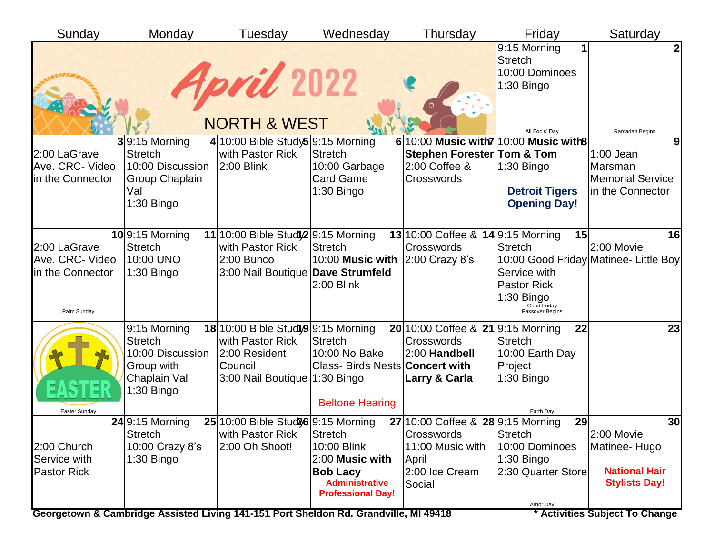| Sunday                              | Monday                             | Tuesday                               | Wednesday                                               | Thursday                                | Friday                                                                           | Saturday                              |
|-------------------------------------|------------------------------------|---------------------------------------|---------------------------------------------------------|-----------------------------------------|----------------------------------------------------------------------------------|---------------------------------------|
|                                     |                                    | April 2022<br><b>NORTH &amp; WEST</b> |                                                         |                                         | 9:15 Morning<br><b>Stretch</b><br>10:00 Dominoes<br>1:30 Bingo<br>All Fools' Day | 2<br>Ramadan Begins                   |
|                                     | $3 9:15$ Morning                   | $4 10:00$ Bible Study 5 9:15 Morning  |                                                         | 6 10:00 Music with 7 10:00 Music with 8 |                                                                                  | 9                                     |
| 2:00 LaGrave                        | <b>Stretch</b>                     | with Pastor Rick                      | <b>Stretch</b>                                          | <b>Stephen Forester Tom &amp; Tom</b>   |                                                                                  | $1:00$ Jean                           |
| Ave. CRC- Video<br>in the Connector | 10:00 Discussion<br>Group Chaplain | 2:00 Blink                            | 10:00 Garbage<br><b>Card Game</b>                       | 2:00 Coffee &<br>Crosswords             | $1:30$ Bingo                                                                     | Marsman<br><b>Memorial Service</b>    |
|                                     | Val                                |                                       | $1:30$ Bingo                                            |                                         | <b>Detroit Tigers</b>                                                            | in the Connector                      |
|                                     | 1:30 Bingo                         |                                       |                                                         |                                         | <b>Opening Day!</b>                                                              |                                       |
|                                     |                                    |                                       |                                                         |                                         |                                                                                  |                                       |
|                                     | $10$ 9:15 Morning                  | 11 10:00 Bible Studi 2 9:15 Morning   |                                                         | 13 10:00 Coffee & 14 9:15 Morning       | 15                                                                               | 16                                    |
| 2:00 LaGrave                        | <b>Stretch</b>                     | with Pastor Rick                      | <b>Stretch</b>                                          | Crosswords                              | <b>Stretch</b>                                                                   | 2:00 Movie                            |
| Ave. CRC- Video                     | 10:00 UNO                          | 2:00 Bunco                            | 10:00 Music with                                        | 2:00 Crazy 8's                          |                                                                                  | 10:00 Good Friday Matinee- Little Boy |
| in the Connector                    | $1:30$ Bingo                       | 3:00 Nail Boutique Dave Strumfeld     |                                                         |                                         | Service with                                                                     |                                       |
|                                     |                                    |                                       | 2:00 Blink                                              |                                         | <b>Pastor Rick</b>                                                               |                                       |
|                                     |                                    |                                       |                                                         |                                         | $1:30$ Bingo<br>Good Friday<br>Passover Begins                                   |                                       |
| Palm Sunday                         |                                    |                                       |                                                         |                                         |                                                                                  |                                       |
|                                     | 9:15 Morning                       | 18 10:00 Bible Study9 9:15 Morning    |                                                         | 20 10:00 Coffee & 21 9:15 Morning       | 22                                                                               | 23                                    |
|                                     | <b>Stretch</b>                     | with Pastor Rick                      | <b>Stretch</b>                                          | Crosswords                              | <b>Stretch</b>                                                                   |                                       |
|                                     | 10:00 Discussion<br>Group with     | 2:00 Resident<br>Council              | 10:00 No Bake<br>Class- Birds Nests <b>Concert with</b> | 2:00 Handbell                           | 10:00 Earth Day<br>Project                                                       |                                       |
|                                     | Chaplain Val                       | 3:00 Nail Boutique 1:30 Bingo         |                                                         | Larry & Carla                           | $1:30$ Bingo                                                                     |                                       |
|                                     | $1:30$ Bingo                       |                                       |                                                         |                                         |                                                                                  |                                       |
|                                     |                                    |                                       | <b>Beltone Hearing</b>                                  |                                         |                                                                                  |                                       |
| Easter Sunday                       | $24$ 9:15 Morning                  | 25 10:00 Bible Stud 96 9:15 Morning   |                                                         | 27 10:00 Coffee & 28 9:15 Morning       | Earth Dav<br>29                                                                  | 30                                    |
|                                     | <b>Stretch</b>                     | with Pastor Rick                      | Stretch                                                 | Crosswords                              | <b>Stretch</b>                                                                   | 2:00 Movie                            |
| 2:00 Church                         | 10:00 Crazy 8's                    | 2:00 Oh Shoot!                        | 10:00 Blink                                             | 11:00 Music with                        | 10:00 Dominoes                                                                   | Matinee-Hugo                          |
| Service with                        | $1:30$ Bingo                       |                                       | 2:00 Music with                                         | April                                   | $1:30$ Bingo                                                                     |                                       |
| <b>Pastor Rick</b>                  |                                    |                                       | <b>Bob Lacy</b>                                         | 2:00 Ice Cream                          | 2:30 Quarter Store                                                               | <b>National Hair</b>                  |
|                                     |                                    |                                       | <b>Administrative</b><br><b>Professional Day!</b>       | Social                                  |                                                                                  | <b>Stylists Day!</b>                  |
|                                     |                                    |                                       |                                                         |                                         | Arbor Day                                                                        |                                       |

Georgetown & Cambridge Assisted Living 141-151 Port Sheldon Rd. Grandville, MI 49418 **\*** Activities Subject To Change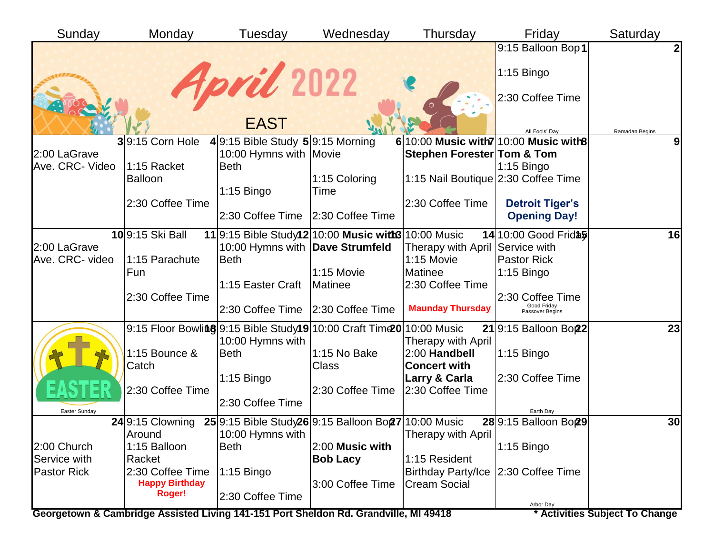| Sunday             | Monday                                                                  | Tuesday                             | Wednesday                                                            | Thursday                                    | Friday                           | Saturday       |
|--------------------|-------------------------------------------------------------------------|-------------------------------------|----------------------------------------------------------------------|---------------------------------------------|----------------------------------|----------------|
|                    |                                                                         |                                     |                                                                      |                                             | 9:15 Balloon Bop1                | 2              |
|                    |                                                                         | April 2022                          |                                                                      |                                             | 1:15 Bingo                       |                |
|                    |                                                                         |                                     |                                                                      |                                             | 2:30 Coffee Time                 |                |
|                    |                                                                         | <b>EAST</b>                         |                                                                      |                                             | All Fools' Dav                   | Ramadan Begins |
|                    | $3 9:15$ Corn Hole                                                      | $4 9:15$ Bible Study 5 9:15 Morning |                                                                      | $6 10:00$ Music with $7 10:00$ Music with 8 |                                  | 9 <sub>l</sub> |
| 2:00 LaGrave       |                                                                         | 10:00 Hymns with Movie              |                                                                      | <b>Stephen Forester Tom &amp; Tom</b>       |                                  |                |
| Ave. CRC- Video    | 1:15 Racket                                                             | <b>Beth</b>                         |                                                                      |                                             | $1:15$ Bingo                     |                |
|                    | <b>Balloon</b>                                                          |                                     | 1:15 Coloring                                                        | 1:15 Nail Boutique 2:30 Coffee Time         |                                  |                |
|                    |                                                                         | $1:15$ Bingo                        | Time                                                                 |                                             |                                  |                |
|                    | 2:30 Coffee Time                                                        |                                     |                                                                      | 2:30 Coffee Time                            | <b>Detroit Tiger's</b>           |                |
|                    |                                                                         | 2:30 Coffee Time   2:30 Coffee Time |                                                                      |                                             | <b>Opening Day!</b>              |                |
|                    | 109:15 Ski Ball                                                         |                                     | 11 9:15 Bible Study12 10:00 Music with3 10:00 Music                  |                                             | 14 10:00 Good Frid \$            | 16             |
| 2:00 LaGrave       |                                                                         | 10:00 Hymns with   Dave Strumfeld   |                                                                      | Therapy with April Service with             |                                  |                |
| Ave. CRC- video    | 1:15 Parachute                                                          | <b>Beth</b>                         |                                                                      | 1:15 Movie                                  | <b>Pastor Rick</b>               |                |
|                    | Fun                                                                     |                                     | 1:15 Movie                                                           | Matinee                                     | $1:15$ Bingo                     |                |
|                    |                                                                         | 1:15 Easter Craft                   | Matinee                                                              | 2:30 Coffee Time                            |                                  |                |
|                    | 2:30 Coffee Time                                                        |                                     |                                                                      |                                             | 2:30 Coffee Time                 |                |
|                    |                                                                         | 2:30 Coffee Time 2:30 Coffee Time   |                                                                      | <b>Maunday Thursday</b>                     | Good Friday<br>Passover Begins   |                |
|                    |                                                                         |                                     | 9:15 Floor Bowling 9:15 Bible Study19 10:00 Craft Time 0 10:00 Music |                                             | 219:15 Balloon Bo22              | 23             |
|                    |                                                                         | 10:00 Hymns with                    |                                                                      | <b>Therapy with April</b>                   |                                  |                |
|                    | 1:15 Bounce &                                                           | Beth                                | 1:15 No Bake                                                         | 2:00 Handbell                               | $1:15$ Bingo                     |                |
|                    | Catch                                                                   |                                     | Class                                                                | <b>Concert with</b>                         |                                  |                |
|                    |                                                                         | $1:15$ Bingo                        |                                                                      | Larry & Carla                               | 2:30 Coffee Time                 |                |
|                    | 2:30 Coffee Time                                                        |                                     | 2:30 Coffee Time                                                     | 2:30 Coffee Time                            |                                  |                |
| Easter Sunday      |                                                                         | 2:30 Coffee Time                    |                                                                      |                                             | Earth Day                        |                |
|                    | 24 9:15 Clowning 25 9:15 Bible Study 26 9:15 Balloon Bon 27 10:00 Music |                                     |                                                                      |                                             | 28 9:15 Balloon Bo <sub>29</sub> | 30             |
|                    | Around                                                                  | 10:00 Hymns with                    |                                                                      | Therapy with April                          |                                  |                |
| 2:00 Church        | 1:15 Balloon                                                            | <b>Beth</b>                         | 2:00 Music with                                                      |                                             | $1:15$ Bingo                     |                |
| Service with       | Racket                                                                  |                                     | <b>Bob Lacy</b>                                                      | 1:15 Resident                               |                                  |                |
| <b>Pastor Rick</b> | 2:30 Coffee Time                                                        | $1:15$ Bingo                        |                                                                      | <b>Birthday Party/Ice</b>                   | 2:30 Coffee Time                 |                |
|                    | <b>Happy Birthday</b>                                                   |                                     | 3:00 Coffee Time                                                     | <b>Cream Social</b>                         |                                  |                |
|                    | Roger!                                                                  | 2:30 Coffee Time                    |                                                                      |                                             | Arbor Day                        |                |
|                    |                                                                         |                                     |                                                                      | $1.201 - 1014044$                           |                                  |                |

Georgetown & Cambridge Assisted Living 141-151 Port Sheldon Rd. Grandville, MI 49418 **\*** Activities Subject To Change